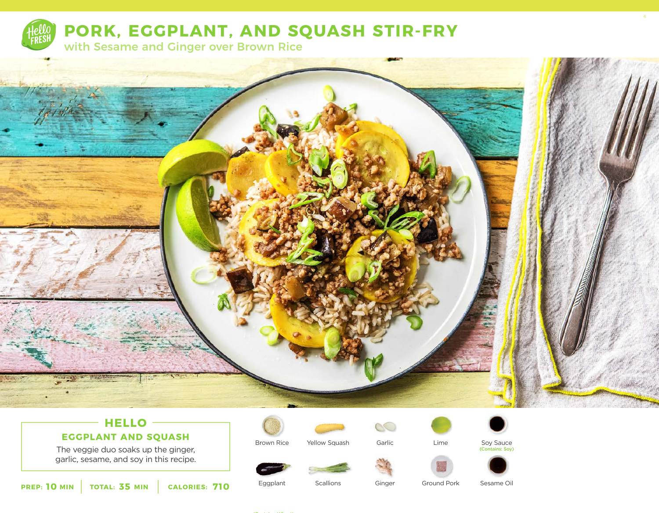

**PORK, EGGPLANT, AND SQUASH STIR-FRY**

with Sesame and Ginger over Brown Rice



# **HELLO**

**EGGPLANT AND SQUASH**

The veggie duo soaks up the ginger, garlic, sesame, and soy in this recipe.



Brown Rice

Yellow Squash

Lime



4



Soy Sauce (Contains: Soy)



**10** MIN | TOTAL: 35 MIN | CALORIES: 710

**Scallions** 

Ginger

Garlic

 $\mathcal{O}$ 

Ground Pork

Sesame Oil

Eggplant

(Contains: Wheat)